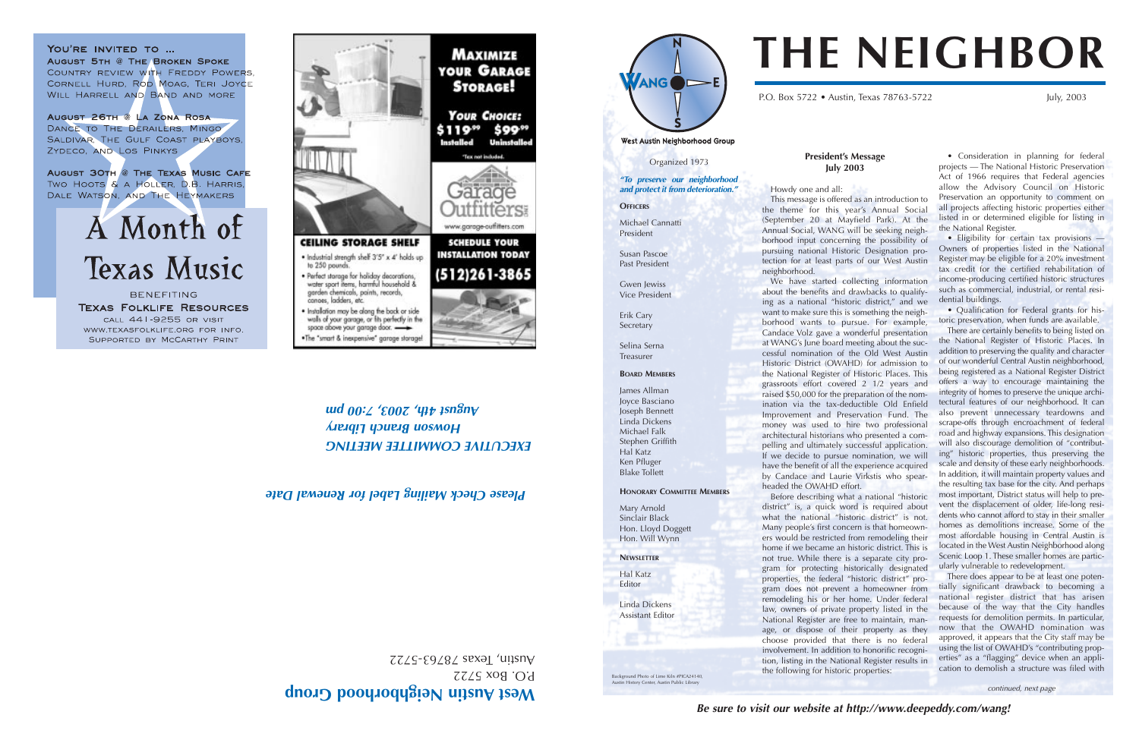#### **President's Message July 2003**

Howdy one and all: This message is offered as an introduction to the theme for this year's Annual Social (September 20 at Mayfield Park). At the Annual Social, WANG will be seeking neighborhood input concerning the possibility of pursuing national Historic Designation protection for at least parts of our West Austin neighborhood.

We have started collecting information about the benefits and drawbacks to qualifying as a national "historic district," and we want to make sure this is something the neighborhood wants to pursue. For example, Candace Volz gave a wonderful presentation at WANG's June board meeting about the successful nomination of the Old West Austin Historic District (OWAHD) for admission to the National Register of Historic Places. This grassroots effort covered 2 1/2 years and raised \$50,000 for the preparation of the nomination via the tax-deductible Old Enfield Improvement and Preservation Fund. The money was used to hire two professional architectural historians who presented a compelling and ultimately successful application. If we decide to pursue nomination, we will have the benefit of all the experience acquired by Candace and Laurie Virkstis who spearheaded the OWAHD effort.

Before describing what a national "historic district" is, a quick word is required about what the national "historic district" is not. Many people's first concern is that homeowners would be restricted from remodeling their home if we became an historic district. This is not true. While there is a separate city program for protecting historically designated properties, the federal "historic district" program does not prevent a homeowner from remodeling his or her home. Under federal law, owners of private property listed in the National Register are free to maintain, manage, or dispose of their property as they choose provided that there is no federal involvement. In addition to honorific recognition, listing in the National Register results in the following for historic properties:





P.O. Box 5722 • Austin, Texas 78763-5722 July, 2003

West Austin Neighborhood Group

*EXECUTIVE COMMITTEE MEETING Howson Branch Library und*  $0.2$  *'* $\epsilon$ *007, '41+*  $\epsilon$  *as*  $\theta$ *n* $\theta$ 

• Consideration in planning for federal projects — The National Historic Preservation Act of 1966 requires that Federal agencies allow the Advisory Council on Historic Preservation an opportunity to comment on all projects affecting historic properties either listed in or determined eligible for listing in the National Register.

Background Photo of Lime Kiln #PICA24140, History Center, Austin Public Librar

• Eligibility for certain tax provisions — Owners of properties listed in the National Register may be eligible for a 20% investment tax credit for the certified rehabilitation of income-producing certified historic structures such as commercial, industrial, or rental residential buildings.

• Qualification for Federal grants for historic preservation, when funds are available.

There are certainly benefits to being listed on the National Register of Historic Places. In addition to preserving the quality and character of our wonderful Central Austin neighborhood, being registered as a National Register District offers a way to encourage maintaining the integrity of homes to preserve the unique architectural features of our neighborhood. It can also prevent unnecessary teardowns and scrape-offs through encroachment of federal road and highway expansions. This designation will also discourage demolition of "contributing" historic properties, thus preserving the scale and density of these early neighborhoods. In addition, it will maintain property values and the resulting tax base for the city. And perhaps most important, District status will help to prevent the displacement of older, life-long residents who cannot afford to stay in their smaller homes as demolitions increase. Some of the most affordable housing in Central Austin is located in the West Austin Neighborhood along Scenic Loop 1. These smaller homes are particularly vulnerable to redevelopment.

There does appear to be at least one potentially significant drawback to becoming a national register district that has arisen because of the way that the City handles requests for demolition permits. In particular, now that the OWAHD nomination was approved, it appears that the City staff may be using the list of OWAHD's "contributing properties" as a "flagging" device when an application to demolish a structure was filed with

## **THE NEIGHBOR**

## **est Austin Neighborhood Group <sup>W</sup>**

 $BOS$   $D.$  Box 5722  $ZZZS - E9Z8Z$  sexal 'unsny

TITTETS www.garage-ouffiters.com **CEILING STORAGE SHELF SCHEDULE YOUR INSTALLATION TODAY**  $(512)261 - 3865$ 

\$119\*\*

Installed

**MAXIMIZE** 

**YOUR GARAGE** 

**STORAGE!** 

**YOUR CHOICE:** 

Tex pot induded

\$99<sup>99</sup>

**Uninstalled** 

## . Industrial strength shelf 3'5" x 4' holds up to 250 pounds · Perfect starage for holiday decorations,

YOU'RE INVITED TO ...

ZYDECO, AND LOS PINKYS

**AUGUST 5TH @ THE BROKEN SPOKE** 

WILL HARRELL AND BAND AND MORE

AUGUST 26TH @ LA ZONA ROSA

DANCE TO THE DERAILERS, MINGO SALDIVAR, THE GULF COAST PLAYBOYS,

COUNTRY REVIEW WITH FREDDY POWERS,

CORNELL HURD, ROD MOAG, TERI JOYCE

AUGUST 30TH @ THE TEXAS MUSIC CAFE TWO HOOTS & A HOLLER, D.B. HARRIS, DALE WATSON, AND THE HEYMAKERS

A Month of

**Texas Music** 

**BENEFITING** 

**TEXAS FOLKLIFE RESOURCES** 

CALL 441-9255 OR VISIT

WWW.TEXASFOLKLIFE.ORG FOR INFO.

SUPPORTED BY MCCARTHY PRINT

water sport items, harmful household & garden chemicals, paints, records, canoes, ladders, etc.

. Installation may be along the back or side walls of your garage, or fits perfectly in the space above your garage door.

- .The "smart & inexpensive" garage storage!
- 

Organized 1973

*"To preserve our neighborhood and protect it from deterioration."*

**OFFICERS** 

Michael Cannatti President

Susan Pascoe Past President

Gwen Jewiss Vice President

Erik Cary Secretary

Selina Serna

Treasurer

**BOARD MEMBERS** James Allman Joyce Basciano Joseph Bennett

Linda Dickens Michael Falk Stephen Griffith Hal Katz Ken Pfluger Blake Tollett

## **HONORARY COMMITTEE MEMBERS**

Mary Arnold Sinclair Black

Hon. Lloyd Doggett Hon. Will Wynn

**NEWSLETTER** Hal Katz Editor

Linda Dickens Assistant Editor

## *Please Check Mailing Label for Renewal Date*

*continued, next page*